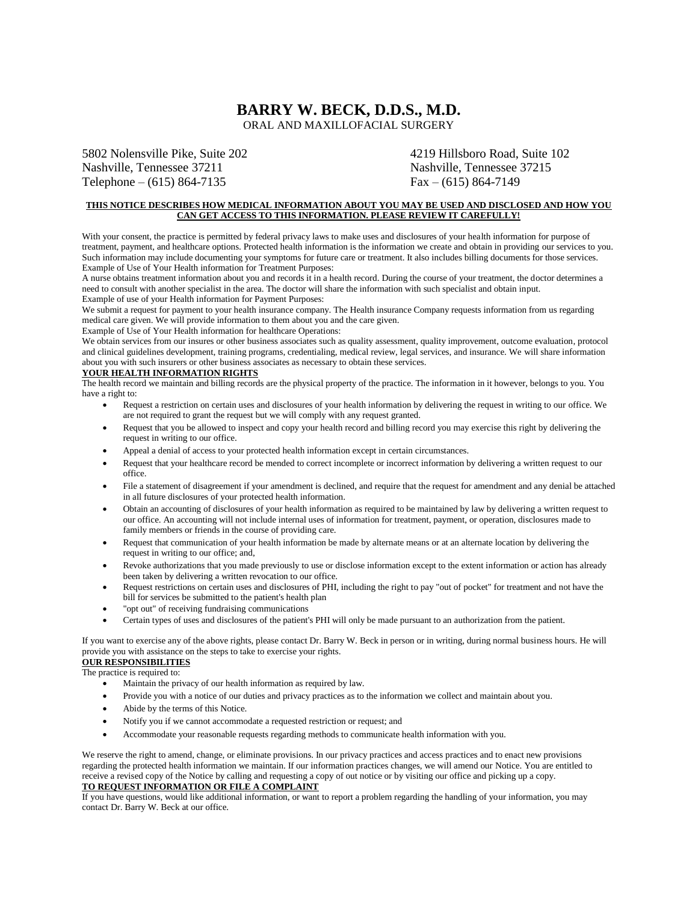# **BARRY W. BECK, D.D.S., M.D.**

ORAL AND MAXILLOFACIAL SURGERY

5802 Nolensville Pike, Suite 202 4219 Hillsboro Road, Suite 102 Nashville, Tennessee 37211 Nashville, Tennessee 37215 Telephone – (615) 864-7135 Fax – (615) 864-7149

### **THIS NOTICE DESCRIBES HOW MEDICAL INFORMATION ABOUT YOU MAY BE USED AND DISCLOSED AND HOW YOU CAN GET ACCESS TO THIS INFORMATION. PLEASE REVIEW IT CAREFULLY!**

With your consent, the practice is permitted by federal privacy laws to make uses and disclosures of your health information for purpose of treatment, payment, and healthcare options. Protected health information is the information we create and obtain in providing our services to you. Such information may include documenting your symptoms for future care or treatment. It also includes billing documents for those services. Example of Use of Your Health information for Treatment Purposes:

A nurse obtains treatment information about you and records it in a health record. During the course of your treatment, the doctor determines a need to consult with another specialist in the area. The doctor will share the information with such specialist and obtain input. Example of use of your Health information for Payment Purposes:

We submit a request for payment to your health insurance company. The Health insurance Company requests information from us regarding medical care given. We will provide information to them about you and the care given.

Example of Use of Your Health information for healthcare Operations:

We obtain services from our insures or other business associates such as quality assessment, quality improvement, outcome evaluation, protocol and clinical guidelines development, training programs, credentialing, medical review, legal services, and insurance. We will share information about you with such insurers or other business associates as necessary to obtain these services.

#### **YOUR HEALTH INFORMATION RIGHTS**

The health record we maintain and billing records are the physical property of the practice. The information in it however, belongs to you. You have a right to:

- Request a restriction on certain uses and disclosures of your health information by delivering the request in writing to our office. We are not required to grant the request but we will comply with any request granted.
- Request that you be allowed to inspect and copy your health record and billing record you may exercise this right by delivering the request in writing to our office.
- Appeal a denial of access to your protected health information except in certain circumstances.
- Request that your healthcare record be mended to correct incomplete or incorrect information by delivering a written request to our office.
- File a statement of disagreement if your amendment is declined, and require that the request for amendment and any denial be attached in all future disclosures of your protected health information.
- Obtain an accounting of disclosures of your health information as required to be maintained by law by delivering a written request to our office. An accounting will not include internal uses of information for treatment, payment, or operation, disclosures made to family members or friends in the course of providing care.
- Request that communication of your health information be made by alternate means or at an alternate location by delivering the request in writing to our office; and,
- Revoke authorizations that you made previously to use or disclose information except to the extent information or action has already been taken by delivering a written revocation to our office.
- Request restrictions on certain uses and disclosures of PHI, including the right to pay "out of pocket" for treatment and not have the bill for services be submitted to the patient's health plan
- "opt out" of receiving fundraising communications
- Certain types of uses and disclosures of the patient's PHI will only be made pursuant to an authorization from the patient.

If you want to exercise any of the above rights, please contact Dr. Barry W. Beck in person or in writing, during normal business hours. He will provide you with assistance on the steps to take to exercise your rights.

# **OUR RESPONSIBILITIES**

The practice is required to:

- Maintain the privacy of our health information as required by law.
- Provide you with a notice of our duties and privacy practices as to the information we collect and maintain about you.
- Abide by the terms of this Notice.
- Notify you if we cannot accommodate a requested restriction or request; and
- Accommodate your reasonable requests regarding methods to communicate health information with you.

We reserve the right to amend, change, or eliminate provisions. In our privacy practices and access practices and to enact new provisions regarding the protected health information we maintain. If our information practices changes, we will amend our Notice. You are entitled to receive a revised copy of the Notice by calling and requesting a copy of out notice or by visiting our office and picking up a copy.

# **TO REQUEST INFORMATION OR FILE A COMPLAINT**

If you have questions, would like additional information, or want to report a problem regarding the handling of your information, you may contact Dr. Barry W. Beck at our office.